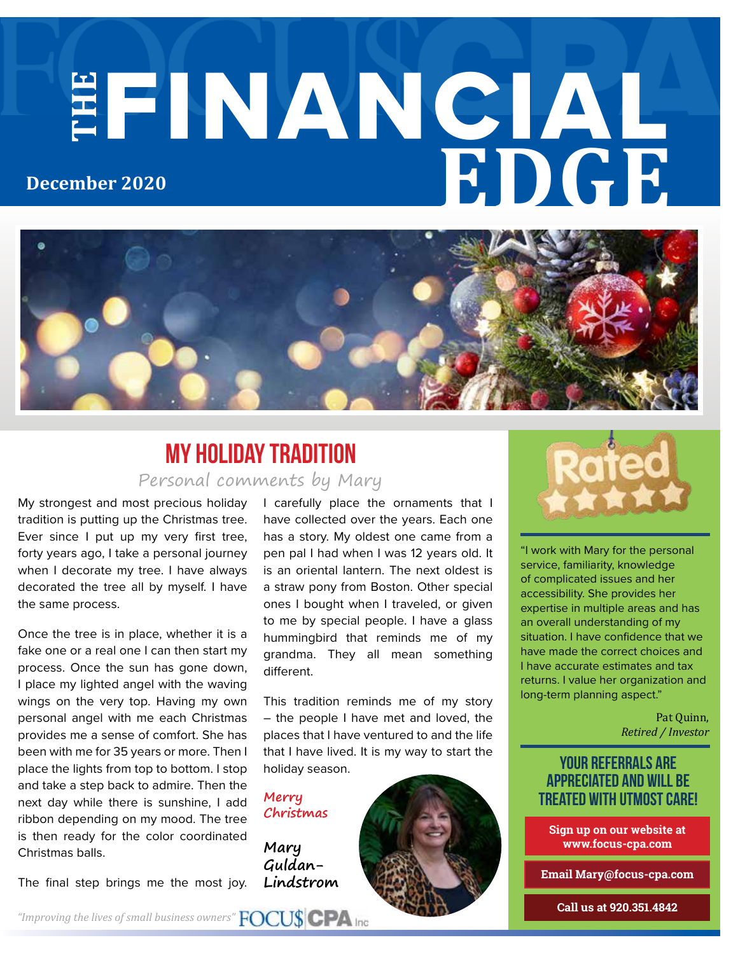# **THE** FINANCIAL **EDGE December 2020**



### Personal comments by Mary My Holiday Tradition

My strongest and most precious holiday tradition is putting up the Christmas tree. Ever since I put up my very first tree, forty years ago, I take a personal journey when I decorate my tree. I have always decorated the tree all by myself. I have the same process.

Once the tree is in place, whether it is a fake one or a real one I can then start my process. Once the sun has gone down, I place my lighted angel with the waving wings on the very top. Having my own personal angel with me each Christmas provides me a sense of comfort. She has been with me for 35 years or more. Then I place the lights from top to bottom. I stop and take a step back to admire. Then the next day while there is sunshine, I add ribbon depending on my mood. The tree is then ready for the color coordinated Christmas balls.

The final step brings me the most joy.

I carefully place the ornaments that I have collected over the years. Each one has a story. My oldest one came from a pen pal I had when I was 12 years old. It is an oriental lantern. The next oldest is a straw pony from Boston. Other special ones I bought when I traveled, or given to me by special people. I have a glass hummingbird that reminds me of my grandma. They all mean something different.

This tradition reminds me of my story – the people I have met and loved, the places that I have ventured to and the life that I have lived. It is my way to start the holiday season.

**Merry Christmas**

**Mary Guldan-Lindstrom**



"I work with Mary for the personal service, familiarity, knowledge of complicated issues and her accessibility. She provides her expertise in multiple areas and has an overall understanding of my situation. I have confidence that we have made the correct choices and I have accurate estimates and tax returns. I value her organization and long-term planning aspect."

> Pat Quinn, *Retired / Investor*

#### your referrals are appreciated and will be treated with utmost care!

**Sign up on our website at www.focus-cpa.com**

**Email Mary@focus-cpa.com**

**Call us at 920.351.4842**

*"Improving the lives of small business owners"*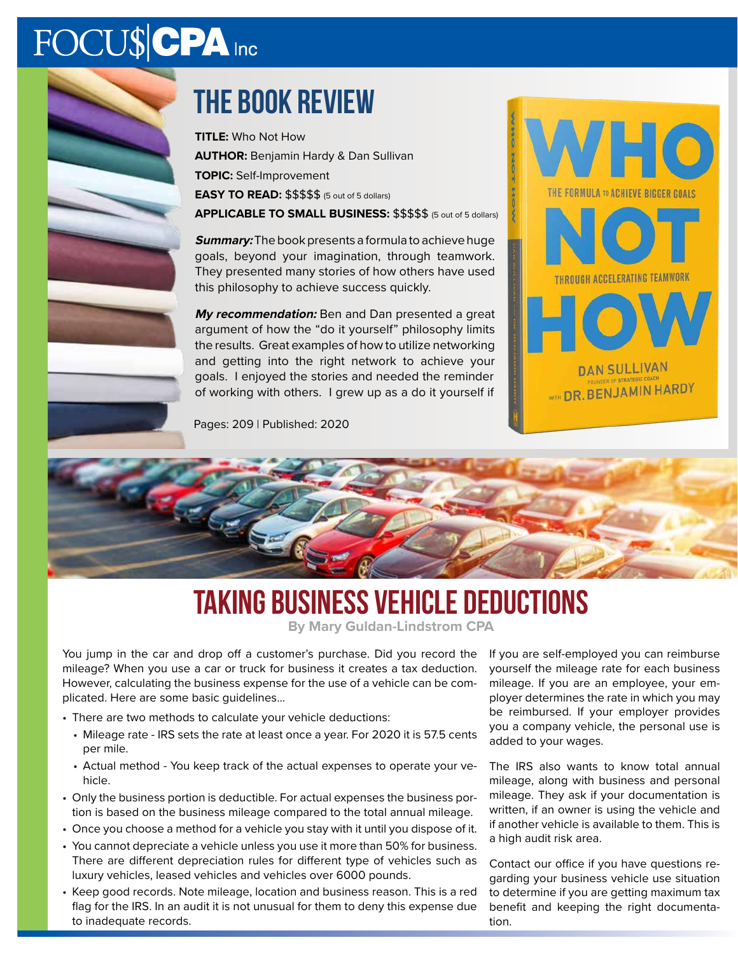# FOCU\$CPA Inc



# the book review

**TITLE:** Who Not How **AUTHOR:** Benjamin Hardy & Dan Sullivan **TOPIC:** Self-Improvement **EASY TO READ:** \$\$\$\$\$ (5 out of 5 dollars)

**APPLICABLE TO SMALL BUSINESS:** \$\$\$\$\$ (5 out of 5 dollars)

**Summary:** The book presents a formula to achieve huge goals, beyond your imagination, through teamwork. They presented many stories of how others have used this philosophy to achieve success quickly.

**My recommendation:** Ben and Dan presented a great argument of how the "do it yourself" philosophy limits the results. Great examples of how to utilize networking and getting into the right network to achieve your goals. I enjoyed the stories and needed the reminder of working with others. I grew up as a do it yourself if

Pages: 209 | Published: 2020





# **TAKING BUSINESS VEHICLE DEDUCTIONS**

**By Mary Guldan-Lindstrom CPA**

You jump in the car and drop off a customer's purchase. Did you record the mileage? When you use a car or truck for business it creates a tax deduction. However, calculating the business expense for the use of a vehicle can be complicated. Here are some basic guidelines...

- There are two methods to calculate your vehicle deductions:
	- Mileage rate IRS sets the rate at least once a year. For 2020 it is 57.5 cents per mile.
	- Actual method You keep track of the actual expenses to operate your vehicle.
- Only the business portion is deductible. For actual expenses the business portion is based on the business mileage compared to the total annual mileage.
- Once you choose a method for a vehicle you stay with it until you dispose of it.
- You cannot depreciate a vehicle unless you use it more than 50% for business. There are different depreciation rules for different type of vehicles such as luxury vehicles, leased vehicles and vehicles over 6000 pounds.
- Keep good records. Note mileage, location and business reason. This is a red flag for the IRS. In an audit it is not unusual for them to deny this expense due to inadequate records.

If you are self-employed you can reimburse yourself the mileage rate for each business mileage. If you are an employee, your employer determines the rate in which you may be reimbursed. If your employer provides you a company vehicle, the personal use is added to your wages.

The IRS also wants to know total annual mileage, along with business and personal mileage. They ask if your documentation is written, if an owner is using the vehicle and if another vehicle is available to them. This is a high audit risk area.

Contact our office if you have questions regarding your business vehicle use situation to determine if you are getting maximum tax benefit and keeping the right documentation.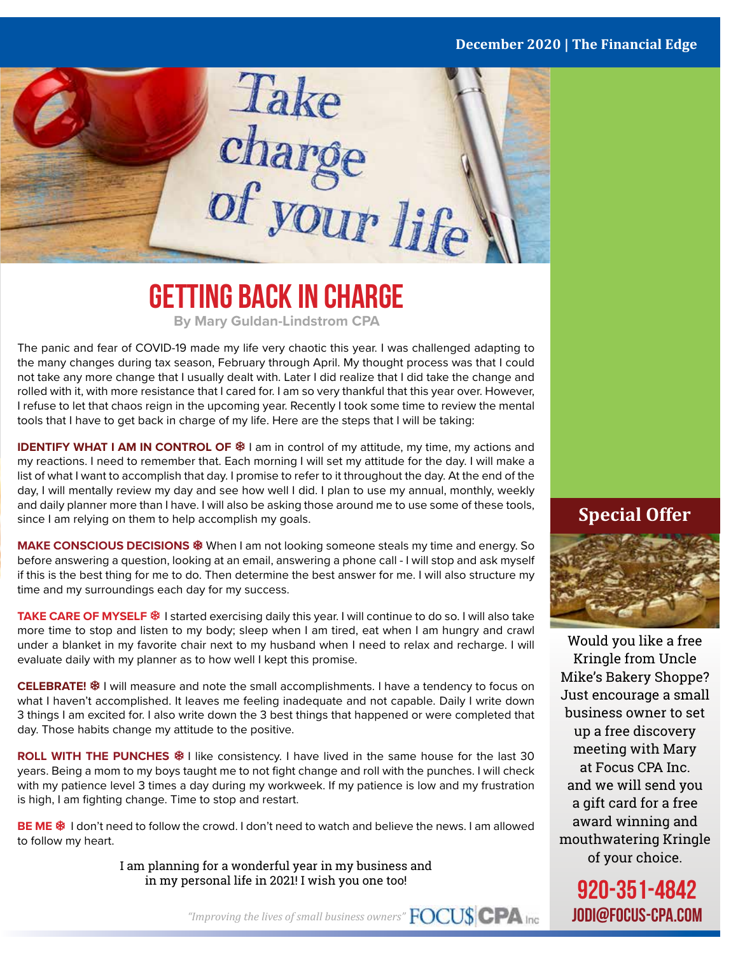#### **December 2020 | The Financial Edge**



### **Getting Back in Charge By Mary Guldan-Lindstrom CPA**

The panic and fear of COVID-19 made my life very chaotic this year. I was challenged adapting to the many changes during tax season, February through April. My thought process was that I could not take any more change that I usually dealt with. Later I did realize that I did take the change and rolled with it, with more resistance that I cared for. I am so very thankful that this year over. However, I refuse to let that chaos reign in the upcoming year. Recently I took some time to review the mental tools that I have to get back in charge of my life. Here are the steps that I will be taking:

**IDENTIFY WHAT I AM IN CONTROL OF**  $$$  **I am in control of my attitude, my time, my actions and** my reactions. I need to remember that. Each morning I will set my attitude for the day. I will make a list of what I want to accomplish that day. I promise to refer to it throughout the day. At the end of the day, I will mentally review my day and see how well I did. I plan to use my annual, monthly, weekly and daily planner more than I have. I will also be asking those around me to use some of these tools, since I am relying on them to help accomplish my goals.

**MAKE CONSCIOUS DECISIONS** <sup>\$§</sup> When I am not looking someone steals my time and energy. So before answering a question, looking at an email, answering a phone call - I will stop and ask myself if this is the best thing for me to do. Then determine the best answer for me. I will also structure my time and my surroundings each day for my success.

**TAKE CARE OF MYSELF** I started exercising daily this year. I will continue to do so. I will also take more time to stop and listen to my body; sleep when I am tired, eat when I am hungry and crawl under a blanket in my favorite chair next to my husband when I need to relax and recharge. I will evaluate daily with my planner as to how well I kept this promise.

**CELEBRATE!**  $\textcircled{F}$  **I will measure and note the small accomplishments. I have a tendency to focus on** what I haven't accomplished. It leaves me feeling inadequate and not capable. Daily I write down 3 things I am excited for. I also write down the 3 best things that happened or were completed that day. Those habits change my attitude to the positive.

**ROLL WITH THE PUNCHES**  $\frac{20}{3}$  I like consistency. I have lived in the same house for the last 30 years. Being a mom to my boys taught me to not fight change and roll with the punches. I will check with my patience level 3 times a day during my workweek. If my patience is low and my frustration is high, I am fighting change. Time to stop and restart.

**BE ME <sup>黎</sup> I don't need to follow the crowd. I don't need to watch and believe the news. I am allowed** to follow my heart.

> I am planning for a wonderful year in my business and in my personal life in 2021! I wish you one too!

#### **Special Offer**



Would you like a free Kringle from Uncle Mike's Bakery Shoppe? Just encourage a small business owner to set up a free discovery meeting with Mary at Focus CPA Inc. and we will send you a gift card for a free award winning and mouthwatering Kringle of your choice.

920-351-4842 jodi@focus-cpa.com

*"Improving the lives of small business owners"*